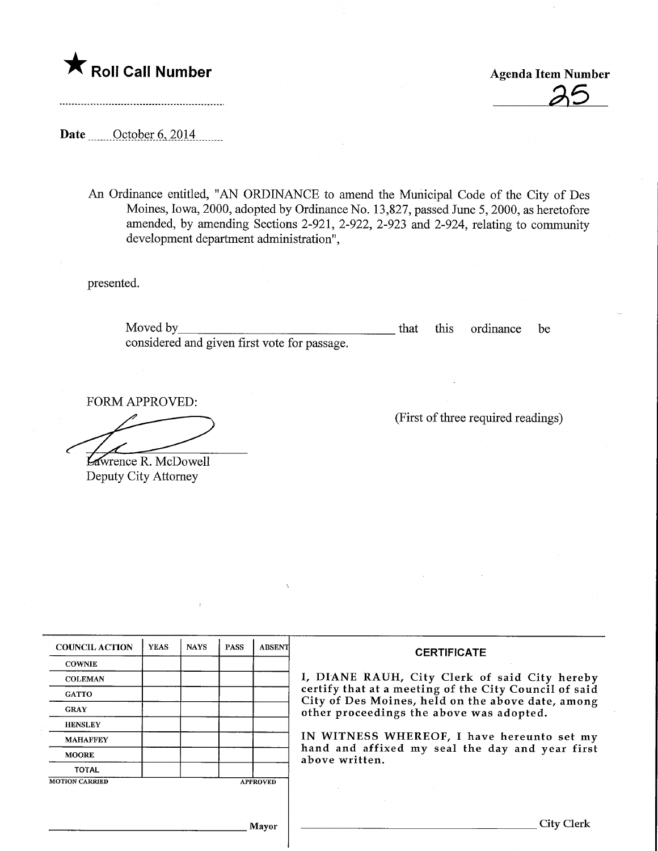

Roll Call Number<br>
Agenda Item Number<br>
25

Date October 6, 2014

An Ordinance entitled, "AN ORDINANCE to amend the Municipal Code of the City of Des Moines, Iowa, 2000, adopted by Ordinance No. 13,827, passed June 5,2000, as heretofore amended, by amending Sections 2-921, 2-922, 2-923 and 2-924, relating to community development department administration",

presented.

Moved by\_ considered and given first vote for passage. that this ordinance be

FORM APPROVED:

Lawrence R. McDowell Deputy City Attorney

(First of three required readings)

| <b>COUNCIL ACTION</b> | <b>YEAS</b> | <b>NAYS</b> | <b>PASS</b> | <b>ABSENT</b>   | <b>CERTIFICATE</b><br>I, DIANE RAUH, City Clerk of said City hereby<br>certify that at a meeting of the City Council of said<br>City of Des Moines, held on the above date, among<br>other proceedings the above was adopted.<br>IN WITNESS WHEREOF, I have hereunto set my<br>hand and affixed my seal the day and year first<br>above written. |
|-----------------------|-------------|-------------|-------------|-----------------|--------------------------------------------------------------------------------------------------------------------------------------------------------------------------------------------------------------------------------------------------------------------------------------------------------------------------------------------------|
| <b>COWNIE</b>         |             |             |             |                 |                                                                                                                                                                                                                                                                                                                                                  |
| <b>COLEMAN</b>        |             |             |             |                 |                                                                                                                                                                                                                                                                                                                                                  |
| <b>GATTO</b>          |             |             |             |                 |                                                                                                                                                                                                                                                                                                                                                  |
| <b>GRAY</b>           |             |             |             |                 |                                                                                                                                                                                                                                                                                                                                                  |
| <b>HENSLEY</b>        |             |             |             |                 |                                                                                                                                                                                                                                                                                                                                                  |
| <b>MAHAFFEY</b>       |             |             |             |                 |                                                                                                                                                                                                                                                                                                                                                  |
| <b>MOORE</b>          |             |             |             |                 |                                                                                                                                                                                                                                                                                                                                                  |
| <b>TOTAL</b>          |             |             |             |                 |                                                                                                                                                                                                                                                                                                                                                  |
| <b>MOTION CARRIED</b> |             |             |             | <b>APPROVED</b> |                                                                                                                                                                                                                                                                                                                                                  |
|                       |             |             |             |                 |                                                                                                                                                                                                                                                                                                                                                  |
|                       |             |             |             |                 |                                                                                                                                                                                                                                                                                                                                                  |
| <b>Mayor</b>          |             |             |             |                 | City Clerk                                                                                                                                                                                                                                                                                                                                       |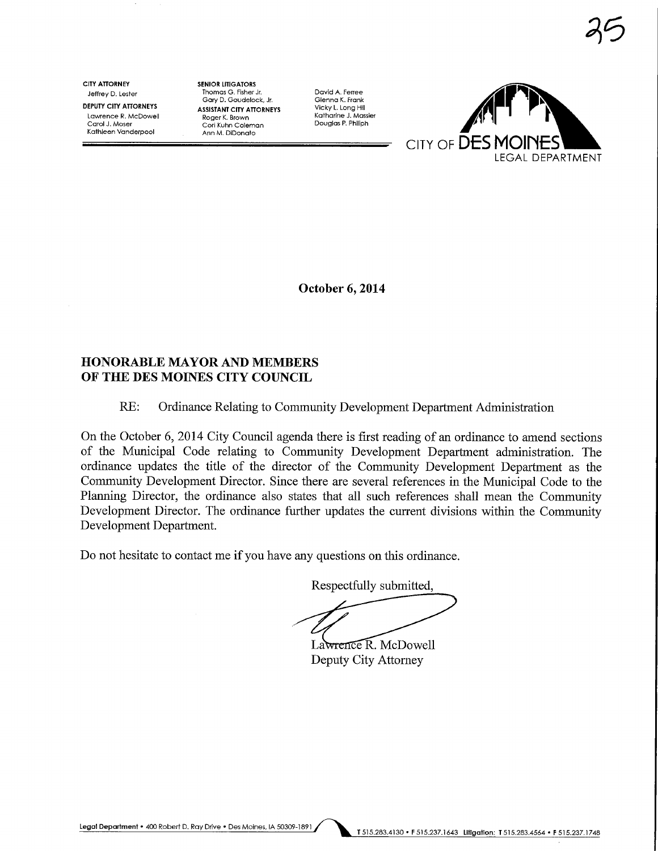Carol J. Moser Cori Kuhn Coleman<br>Kathleen Vanderpool Lagen Ann M. DiDonato

CITY ATTORNEY SENIOR LITIGATORS<br>Leffrey D. Lester Thomas G. Fisher Jr. Jeffrey D. Les+er Thomas G. Fisher Jr David A. Ferree Gary D. Goudelock, Jr. Glenna K. Frank DEPUTY CITY ATTORNEYS COLLY DESISTANT CITY ATTORNEYS ASSISTANT CITY ATTORNEYS CHEMINAL CONDUCTER AND MATTORNEYS<br>Lawrence R. McDowell **Roger K. Brown** Katharine J. Massier Lawrence R. McDowell **Roger K. Brown Communistier Catharine I**. Massier Carol J. Massier Context Carol J. Massi<br>Carol J. Moser Communisties Context Coloman



October 6,2014

# HONORABLE MAYOR AND MEMBERS OF THE DES MOINES CITY COUNCIL

# RE: Ordinance Relating to Community Development Department Administration

On the October 6, 2014 City Council agenda there is first reading of an ordinance to amend sections of the Municipal Code relating to Community Development Department administration. The ordinance updates the title of the director of the Community Development Department as the Community Development Director. Since there are several references in the Municipal Code to the Planning Director, the ordinance also states that all such references shall mean the Community Development Director. The ordinance further updates the current divisions within the Community Development Department.

Do not hesitate to contact me if you have any questions on this ordinance.

Respectfully submitted,

Lawrence R. McDowell Deputy City Attorney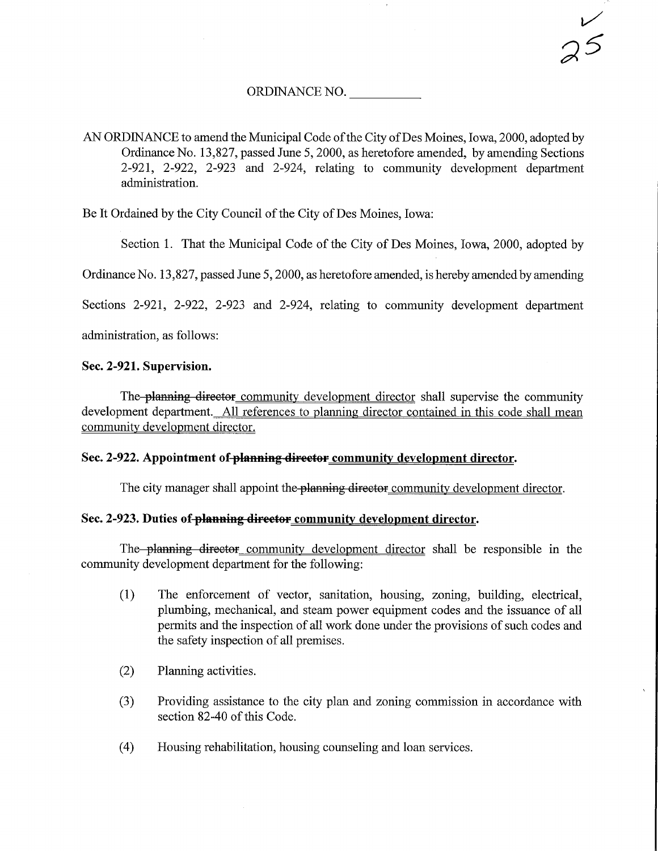### ORDINANCE NO.

AN ORDINANCE to amend the Municipal Code of the City of Des Moines, Iowa, 2000, adopted by Ordinance No. 13,827, passed June 5, 2000, as heretofore amended, by amending Sections 2-921, 2-922, 2-923 and 2-924, relating to community development department administration.

Be It Ordained by the City Council of the City of Des Moines, Iowa:

Section 1. That the Municipal Code of the City of Des Moines, Iowa, 2000, adopted by

Ordinance No. 13,827, passed June 5,2000, as heretofore amended, is hereby amended by amending

Sections 2-921, 2-922, 2-923 and 2-924, relating to community development department

administration, as follows:

# Sec. 2-921. Supervision.

The planning director community development director shall supervise the community development department. All references to planning director contained in this code shall mean community development director.

## Sec. 2-922. Appointment of-planning director community development director.

The city manager shall appoint the **planning director** community development director.

## Sec. 2-923. Duties of planning director community development director.

The planning director community development director shall be responsible in the community development department for the following:

- (1) The enforcement of vector, sanitation, housing, zoning, building, electrical, plumbing, mechanical, and steam power equipment codes and the issuance of all permits and the inspection of all work done under the provisions of such codes and the safety inspection of all premises.
- (2) Planning activities.
- (3) Providing assistance to the city plan and zoning commission in accordance with section 82-40 of this Code.
- (4) Housing rehabilitation, housing counseling and loan services.